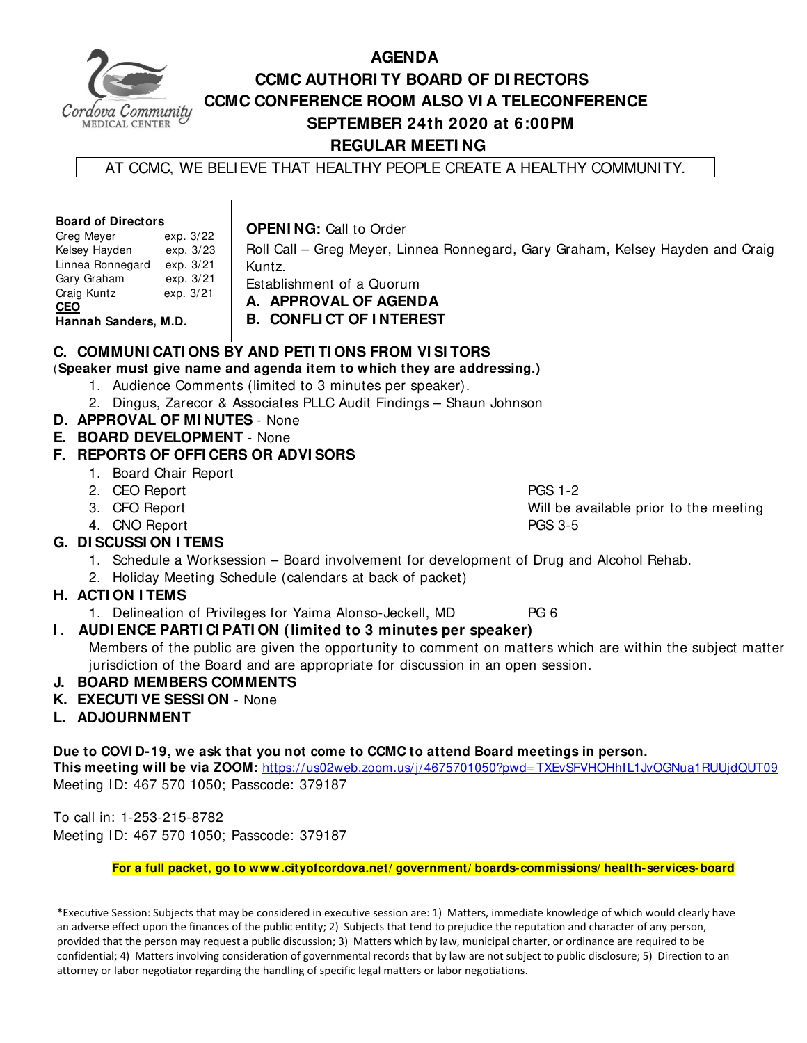

# **AGENDA CCMC AUTHORI TY BOARD OF DI RECTORS CCMC CONFERENCE ROOM ALSO VI A TELECONFERENCE SEPTEMBER 24th 2020 at 6:00PM REGULAR MEETI NG**

Roll Call – Greg Meyer, Linnea Ronnegard, Gary Graham, Kelsey Hayden and Craig

AT CCMC, WE BELIEVE THAT HEALTHY PEOPLE CREATE A HEALTHY COMMUNITY.

#### **Board of Directors**

**OPENI NG:** Call to Order

| Greg Meyer           | exp. 3/22 |  |  |  |  |  |  |
|----------------------|-----------|--|--|--|--|--|--|
| Kelsey Hayden        | exp. 3/23 |  |  |  |  |  |  |
| Linnea Ronnegard     | exp. 3/21 |  |  |  |  |  |  |
| Gary Graham          | exp. 3/21 |  |  |  |  |  |  |
| Craig Kuntz          | exp. 3/21 |  |  |  |  |  |  |
| <b>CEO</b>           |           |  |  |  |  |  |  |
| Hannah Sanders, M.D. |           |  |  |  |  |  |  |

Kuntz. Establishment of a Quorum

**A. APPROVAL OF AGENDA** 

**B. CONFLI CT OF I NTEREST** 

# **C. COMMUNI CATI ONS BY AND PETI TI ONS FROM VI SI TORS**

(**Speaker must give name and agenda item to which they are addressing.)**

- 1. Audience Comments (limited to 3 minutes per speaker).
- 2. Dingus, Zarecor & Associates PLLC Audit Findings Shaun Johnson
- **D. APPROVAL OF MI NUTES**  None

## **E. BOARD DEVELOPMENT** - None

# **F. REPORTS OF OFFI CERS OR ADVI SORS**

- 1. Board Chair Report
- 2. CEO Report **PGS** 1-2
- 
- 4. CNO Report PGS 3-5

3. CFO Report Will be available prior to the meeting

- **G. DI SCUSSI ON I TEMS** 
	- 1. Schedule a Worksession Board involvement for development of Drug and Alcohol Rehab.
	- 2. Holiday Meeting Schedule (calendars at back of packet)

# **H. ACTI ON I TEMS**

1. Delineation of Privileges for Yaima Alonso-Jeckell, MD PG 6

# **I** . **AUDI ENCE PARTI CI PATI ON (limited to 3 minutes per speaker)**

Members of the public are given the opportunity to comment on matters which are within the subject matter jurisdiction of the Board and are appropriate for discussion in an open session.

# **J. BOARD MEMBERS COMMENTS**

- **K. EXECUTI VE SESSI ON**  None
- **L. ADJOURNMENT**

**Due to COVI D-19, we ask that you not come to CCMC to attend Board meetings in person.** 

**This meeting will be via ZOOM:** https://us02web.zoom.us/j/4675701050?pwd= TXEvSFVHOHhIL1JvOGNua1RUUjdQUT09 Meeting ID: 467 570 1050; Passcode: 379187

To call in: 1-253-215-8782 Meeting ID: 467 570 1050; Passcode: 379187

**For a full packet, go to www.cityofcordova.net/ government/ boards-commissions/ health-services-board** 

\*Executive Session: Subjects that may be considered in executive session are: 1) Matters, immediate knowledge of which would clearly have an adverse effect upon the finances of the public entity; 2) Subjects that tend to prejudice the reputation and character of any person, provided that the person may request a public discussion; 3) Matters which by law, municipal charter, or ordinance are required to be confidential; 4) Matters involving consideration of governmental records that by law are not subject to public disclosure; 5) Direction to an attorney or labor negotiator regarding the handling of specific legal matters or labor negotiations.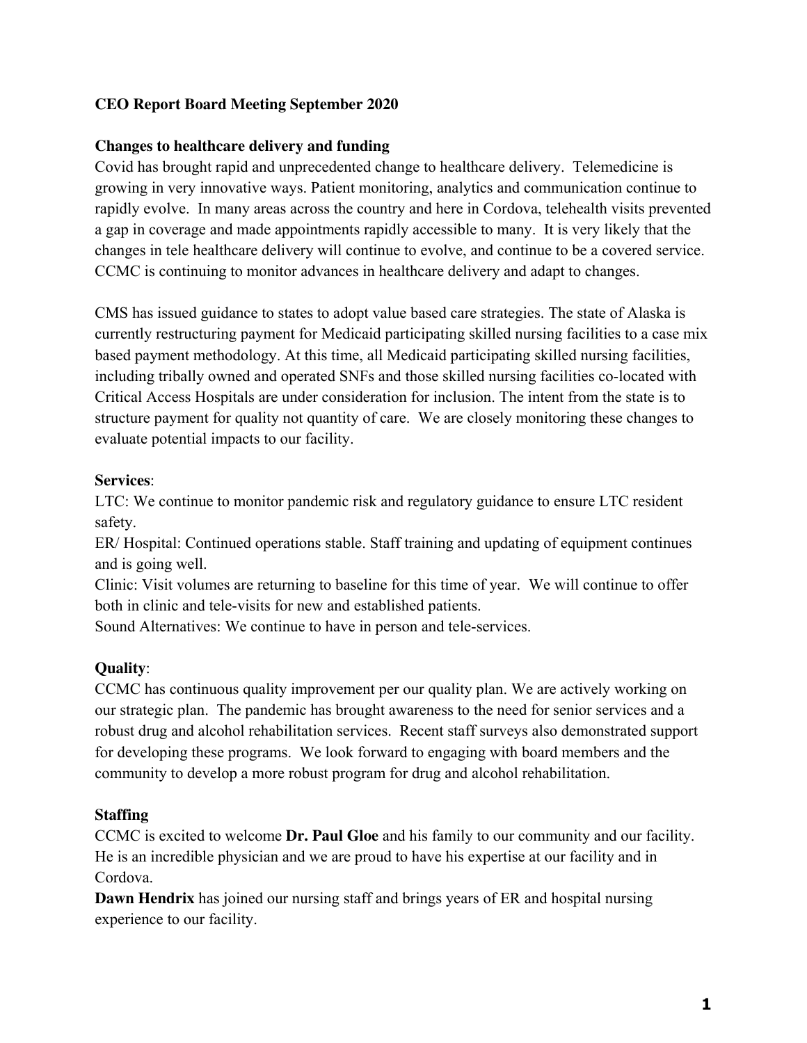# **CEO Report Board Meeting September 2020**

## **Changes to healthcare delivery and funding**

Covid has brought rapid and unprecedented change to healthcare delivery. Telemedicine is growing in very innovative ways. Patient monitoring, analytics and communication continue to rapidly evolve. In many areas across the country and here in Cordova, telehealth visits prevented a gap in coverage and made appointments rapidly accessible to many. It is very likely that the changes in tele healthcare delivery will continue to evolve, and continue to be a covered service. CCMC is continuing to monitor advances in healthcare delivery and adapt to changes.

CMS has issued guidance to states to adopt value based care strategies. The state of Alaska is currently restructuring payment for Medicaid participating skilled nursing facilities to a case mix based payment methodology. At this time, all Medicaid participating skilled nursing facilities, including tribally owned and operated SNFs and those skilled nursing facilities co-located with Critical Access Hospitals are under consideration for inclusion. The intent from the state is to structure payment for quality not quantity of care. We are closely monitoring these changes to evaluate potential impacts to our facility.

## **Services**:

LTC: We continue to monitor pandemic risk and regulatory guidance to ensure LTC resident safety.

ER/ Hospital: Continued operations stable. Staff training and updating of equipment continues and is going well.

Clinic: Visit volumes are returning to baseline for this time of year. We will continue to offer both in clinic and tele-visits for new and established patients.

Sound Alternatives: We continue to have in person and tele-services.

# **Quality**:

CCMC has continuous quality improvement per our quality plan. We are actively working on our strategic plan. The pandemic has brought awareness to the need for senior services and a robust drug and alcohol rehabilitation services. Recent staff surveys also demonstrated support for developing these programs. We look forward to engaging with board members and the community to develop a more robust program for drug and alcohol rehabilitation.

#### **Staffing**

CCMC is excited to welcome **Dr. Paul Gloe** and his family to our community and our facility. He is an incredible physician and we are proud to have his expertise at our facility and in Cordova.

**Dawn Hendrix** has joined our nursing staff and brings years of ER and hospital nursing experience to our facility.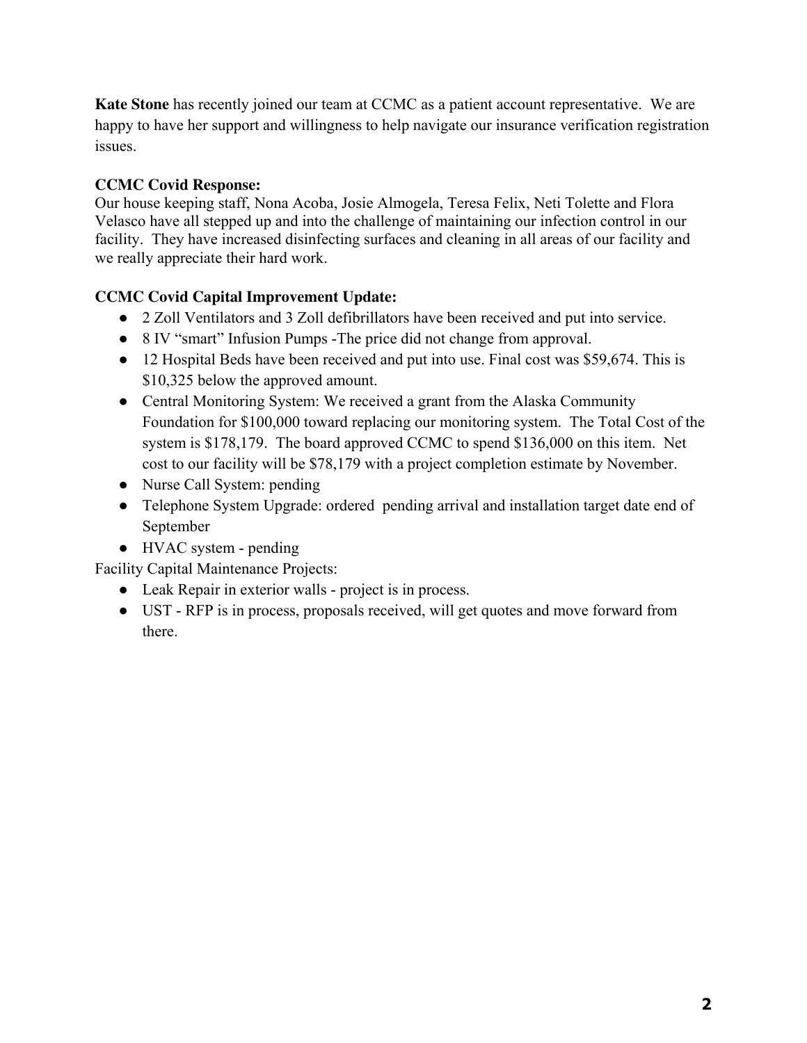**Kate Stone** has recently joined our team at CCMC as a patient account representative. We are happy to have her support and willingness to help navigate our insurance verification registration issues.

# **CCMC Covid Response:**

Our house keeping staff, Nona Acoba, Josie Almogela, Teresa Felix, Neti Tolette and Flora Velasco have all stepped up and into the challenge of maintaining our infection control in our facility. They have increased disinfecting surfaces and cleaning in all areas of our facility and we really appreciate their hard work.

# **CCMC Covid Capital Improvement Update:**

- 2 Zoll Ventilators and 3 Zoll defibrillators have been received and put into service.
- 8 IV "smart" Infusion Pumps -The price did not change from approval.
- 12 Hospital Beds have been received and put into use. Final cost was \$59,674. This is \$10,325 below the approved amount.
- Central Monitoring System: We received a grant from the Alaska Community Foundation for \$100,000 toward replacing our monitoring system. The Total Cost of the system is \$178,179. The board approved CCMC to spend \$136,000 on this item. Net cost to our facility will be \$78,179 with a project completion estimate by November.
- Nurse Call System: pending
- Telephone System Upgrade: ordered pending arrival and installation target date end of September
- HVAC system pending

Facility Capital Maintenance Projects:

- Leak Repair in exterior walls project is in process.
- UST RFP is in process, proposals received, will get quotes and move forward from there.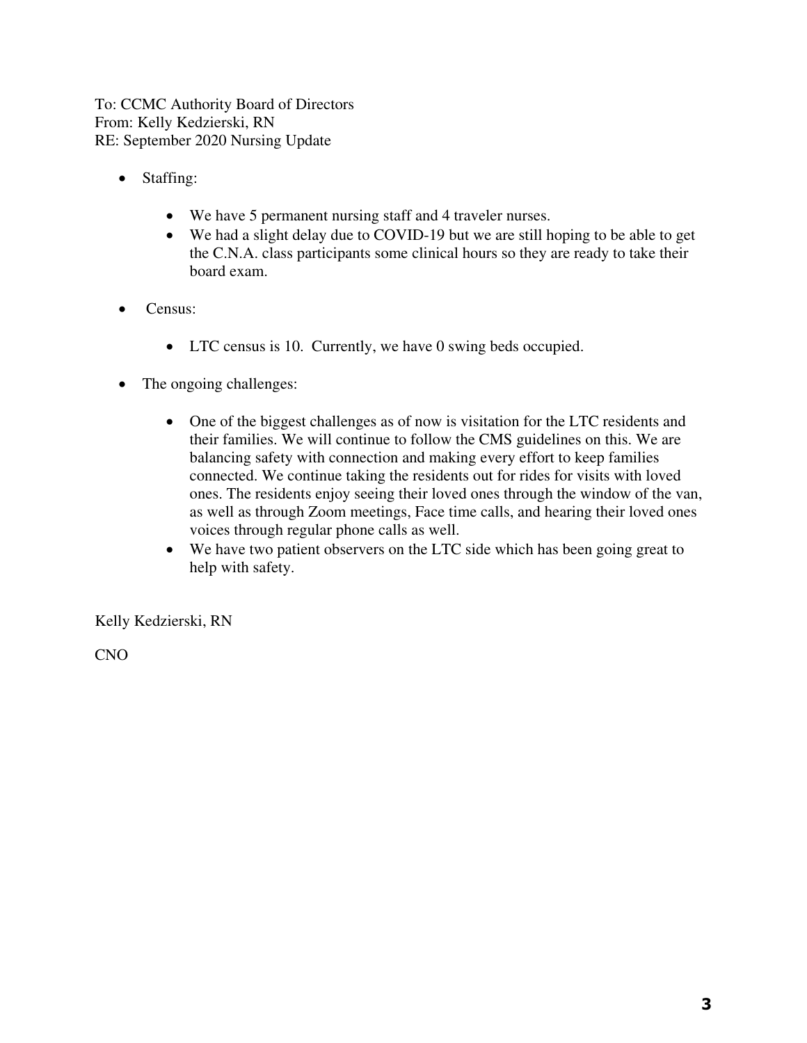To: CCMC Authority Board of Directors From: Kelly Kedzierski, RN RE: September 2020 Nursing Update

- Staffing:
	- We have 5 permanent nursing staff and 4 traveler nurses.
	- We had a slight delay due to COVID-19 but we are still hoping to be able to get the C.N.A. class participants some clinical hours so they are ready to take their board exam.
- Census:
	- LTC census is 10. Currently, we have 0 swing beds occupied.
- The ongoing challenges:
	- One of the biggest challenges as of now is visitation for the LTC residents and their families. We will continue to follow the CMS guidelines on this. We are balancing safety with connection and making every effort to keep families connected. We continue taking the residents out for rides for visits with loved ones. The residents enjoy seeing their loved ones through the window of the van, as well as through Zoom meetings, Face time calls, and hearing their loved ones voices through regular phone calls as well.
	- We have two patient observers on the LTC side which has been going great to help with safety.

Kelly Kedzierski, RN

CNO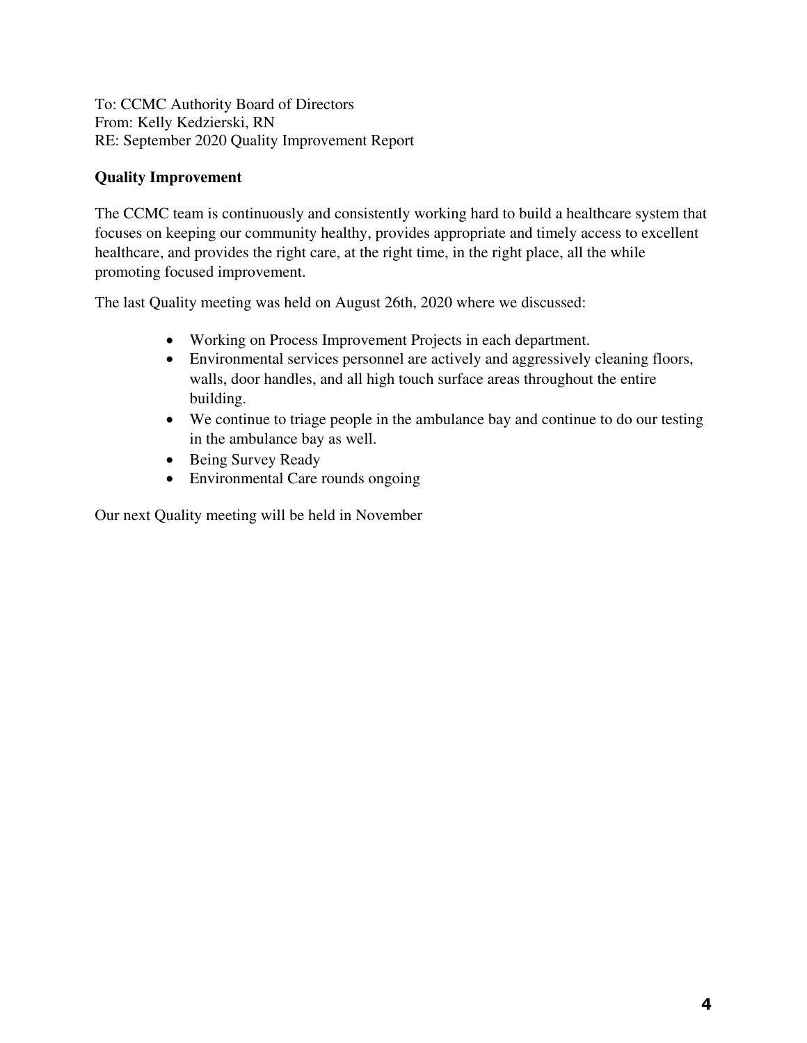To: CCMC Authority Board of Directors From: Kelly Kedzierski, RN RE: September 2020 Quality Improvement Report

# **Quality Improvement**

The CCMC team is continuously and consistently working hard to build a healthcare system that focuses on keeping our community healthy, provides appropriate and timely access to excellent healthcare, and provides the right care, at the right time, in the right place, all the while promoting focused improvement.

The last Quality meeting was held on August 26th, 2020 where we discussed:

- Working on Process Improvement Projects in each department.
- Environmental services personnel are actively and aggressively cleaning floors, walls, door handles, and all high touch surface areas throughout the entire building.
- We continue to triage people in the ambulance bay and continue to do our testing in the ambulance bay as well.
- Being Survey Ready
- Environmental Care rounds ongoing

Our next Quality meeting will be held in November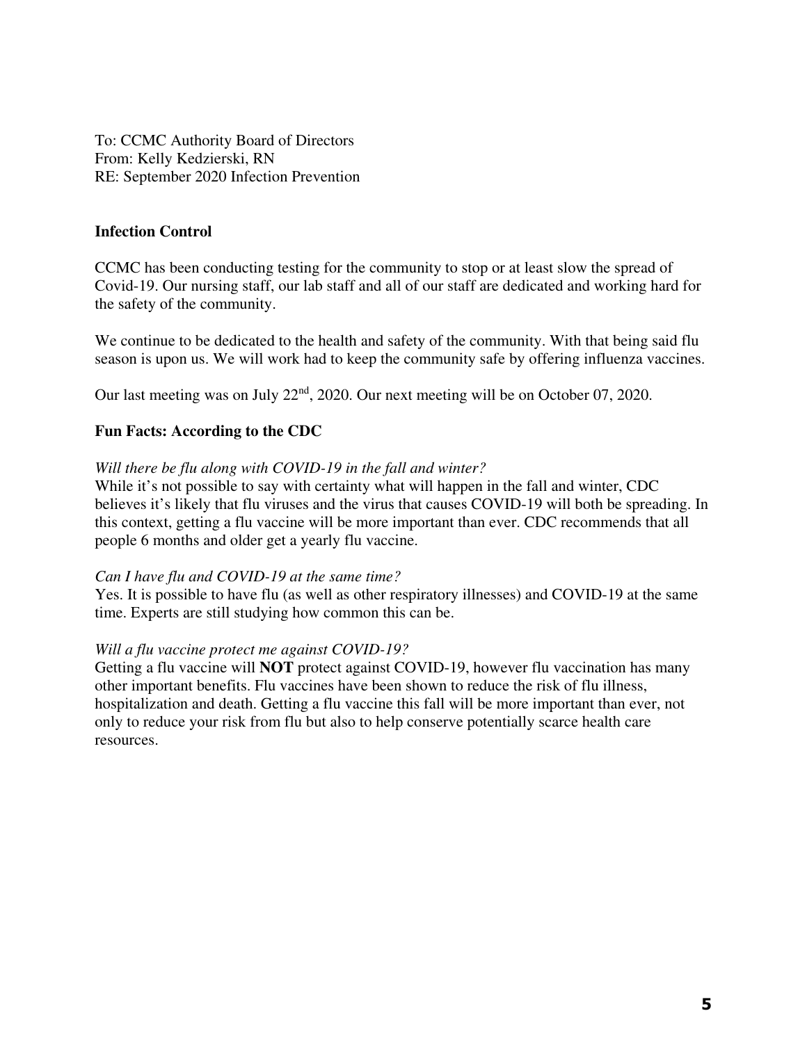To: CCMC Authority Board of Directors From: Kelly Kedzierski, RN RE: September 2020 Infection Prevention

#### **Infection Control**

CCMC has been conducting testing for the community to stop or at least slow the spread of Covid-19. Our nursing staff, our lab staff and all of our staff are dedicated and working hard for the safety of the community.

We continue to be dedicated to the health and safety of the community. With that being said flu season is upon us. We will work had to keep the community safe by offering influenza vaccines.

Our last meeting was on July 22<sup>nd</sup>, 2020. Our next meeting will be on October 07, 2020.

## **Fun Facts: According to the CDC**

#### *Will there be flu along with COVID-19 in the fall and winter?*

While it's not possible to say with certainty what will happen in the fall and winter, CDC believes it's likely that flu viruses and the virus that causes COVID-19 will both be spreading. In this context, getting a flu vaccine will be more important than ever. CDC recommends that all people 6 months and older get a yearly flu vaccine.

#### *Can I have flu and COVID-19 at the same time?*

Yes. It is possible to have flu (as well as other respiratory illnesses) and COVID-19 at the same time. Experts are still studying how common this can be.

#### *Will a flu vaccine protect me against COVID-19?*

Getting a flu vaccine will **NOT** protect against COVID-19, however flu vaccination has many other important benefits. Flu vaccines have been shown to reduce the risk of flu illness, hospitalization and death. Getting a flu vaccine this fall will be more important than ever, not only to reduce your risk from flu but also to help conserve potentially scarce health care resources.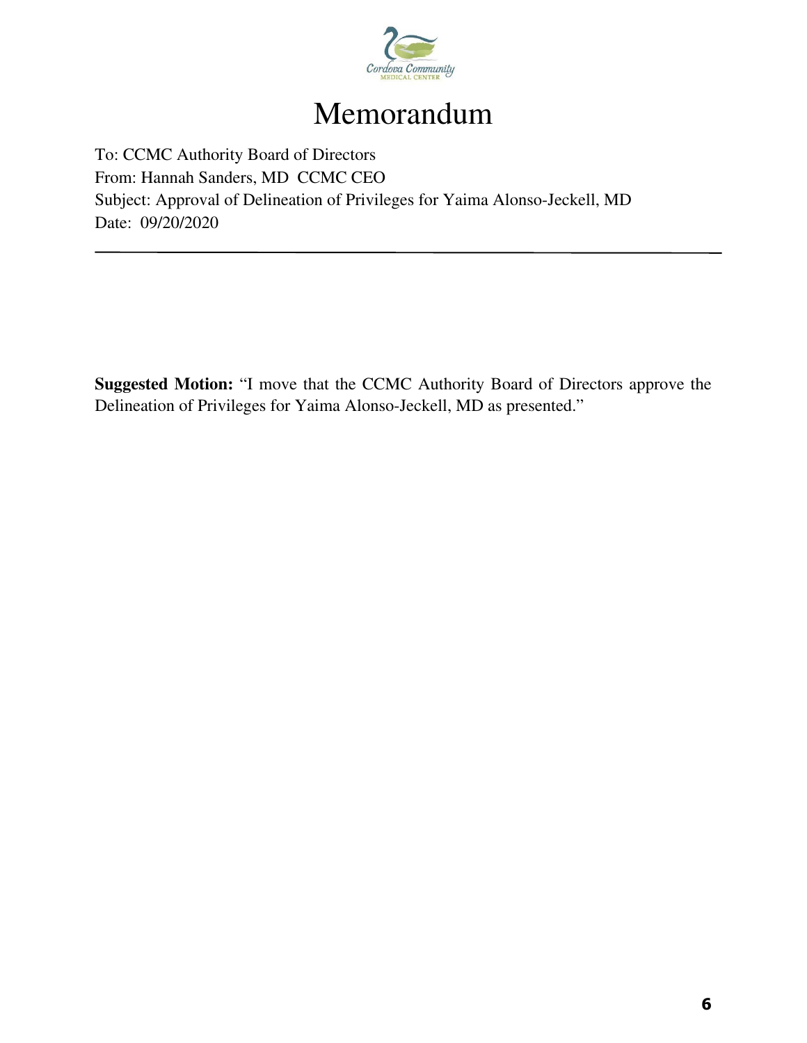

# Memorandum

To: CCMC Authority Board of Directors From: Hannah Sanders, MD CCMC CEO Subject: Approval of Delineation of Privileges for Yaima Alonso-Jeckell, MD Date: 09/20/2020

**Suggested Motion:** "I move that the CCMC Authority Board of Directors approve the Delineation of Privileges for Yaima Alonso-Jeckell, MD as presented."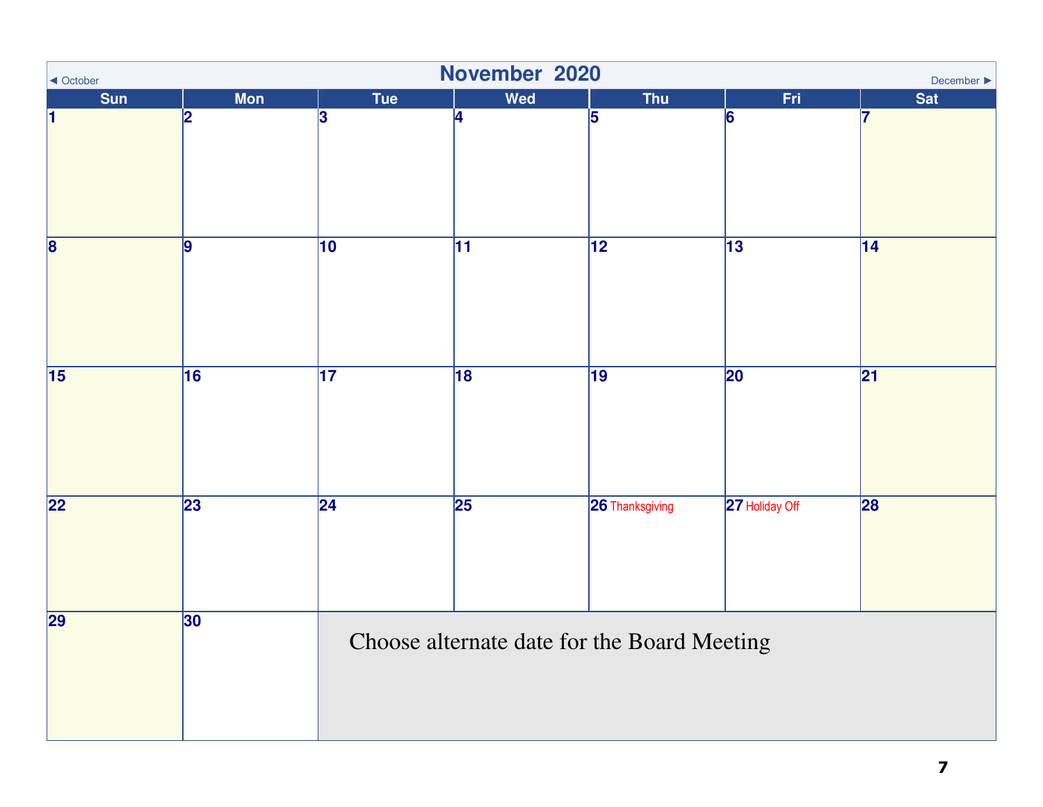| November 2020<br>◀ October<br>December ▶ |            |                                             |                 |                 |                 |                 |  |
|------------------------------------------|------------|---------------------------------------------|-----------------|-----------------|-----------------|-----------------|--|
| Sun                                      | <b>Mon</b> | <b>Tue</b>                                  | Wed             | <b>Thu</b>      | Fri             | <b>Sat</b>      |  |
| ł1                                       | 2          | 3                                           | 4               | 5               | 6               | 17              |  |
| $\overline{\mathbf{8}}$                  | 9          | $\overline{10}$                             | $\overline{11}$ | $\overline{12}$ | $\overline{13}$ | $\overline{14}$ |  |
| $\overline{15}$                          | 16         | $\overline{17}$                             | 18              | $\overline{19}$ | $\overline{20}$ | $\overline{21}$ |  |
| $\overline{22}$                          | 23         | $\overline{24}$                             | $\overline{25}$ | 26 Thanksgiving | 27 Holiday Off  | 28              |  |
| 29                                       | 30         | Choose alternate date for the Board Meeting |                 |                 |                 |                 |  |